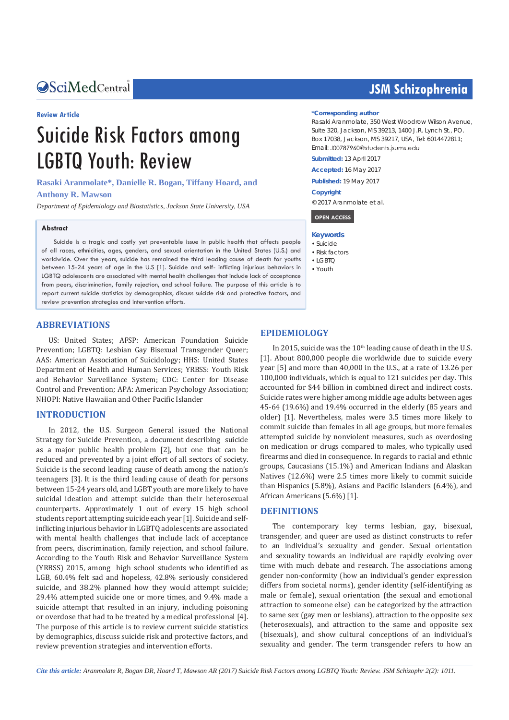### Central *Bringing Excellence in Open Access*

#### **Review Article**

# Suicide Risk Factors among LGBTQ Youth: Review

**Rasaki Aranmolate\*, Danielle R. Bogan, Tiffany Hoard, and** 

#### **Anthony R. Mawson**

*Department of Epidemiology and Biostatistics, Jackson State University, USA*

#### **Abstract**

Suicide is a tragic and costly yet preventable issue in public health that affects people of all races, ethnicities, ages, genders, and sexual orientation in the United States (U.S.) and worldwide. Over the years, suicide has remained the third leading cause of death for youths between 15-24 years of age in the U.S [1]. Suicide and self- inflicting injurious behaviors in LGBTQ adolescents are associated with mental health challenges that include lack of acceptance from peers, discrimination, family rejection, and school failure. The purpose of this article is to report current suicide statistics by demographics, discuss suicide risk and protective factors, and review prevention strategies and intervention efforts.

#### **ABBREVIATIONS**

US: United States; AFSP: American Foundation Suicide Prevention; LGBTQ: Lesbian Gay Bisexual Transgender Queer; AAS: American Association of Suicidology; HHS: United States Department of Health and Human Services; YRBSS: Youth Risk and Behavior Surveillance System; CDC: Center for Disease Control and Prevention; APA: American Psychology Association; NHOPI: Native Hawaiian and Other Pacific Islander

#### **INTRODUCTION**

In 2012, the U.S. Surgeon General issued the National Strategy for Suicide Prevention, a document describing suicide as a major public health problem [2], but one that can be reduced and prevented by a joint effort of all sectors of society. Suicide is the second leading cause of death among the nation's teenagers [3]. It is the third leading cause of death for persons between 15-24 years old, and LGBT youth are more likely to have suicidal ideation and attempt suicide than their heterosexual counterparts. Approximately 1 out of every 15 high school students report attempting suicide each year [1]. Suicide and selfinflicting injurious behavior in LGBTQ adolescents are associated with mental health challenges that include lack of acceptance from peers, discrimination, family rejection, and school failure. According to the Youth Risk and Behavior Surveillance System (YRBSS) 2015, among high school students who identified as LGB, 60.4% felt sad and hopeless, 42.8% seriously considered suicide, and 38.2% planned how they would attempt suicide; 29.4% attempted suicide one or more times, and 9.4% made a suicide attempt that resulted in an injury, including poisoning or overdose that had to be treated by a medical professional [4]. The purpose of this article is to review current suicide statistics by demographics, discuss suicide risk and protective factors, and review prevention strategies and intervention efforts.

# **JSM Schizophrenia**

#### **\*Corresponding author**

Rasaki Aranmolate, 350 West Woodrow Wilson Avenue, Suite 320, Jackson, MS 39213, 1400 J.R. Lynch St., PO. Box 17038, Jackson, MS 39217, USA, Tel: 6014472811; Email: J00787960@students.jsums.edu

**Submitted:** 13 April 2017

**Accepted:** 16 May 2017

**Published:** 19 May 2017

#### **Copyright**

© 2017 Aranmolate et al.

 **OPEN ACCESS** 

#### **Keywords**

- • Suicide
- • Risk factors
- $\bullet$  LGBTO
- • Youth

#### **EPIDEMIOLOGY**

In 2015, suicide was the  $10<sup>th</sup>$  leading cause of death in the U.S. [1]. About 800,000 people die worldwide due to suicide every year [5] and more than 40,000 in the U.S., at a rate of 13.26 per 100,000 individuals, which is equal to 121 suicides per day. This accounted for \$44 billion in combined direct and indirect costs. Suicide rates were higher among middle age adults between ages 45-64 (19.6%) and 19.4% occurred in the elderly (85 years and older) [1]. Nevertheless, males were 3.5 times more likely to commit suicide than females in all age groups, but more females attempted suicide by nonviolent measures, such as overdosing on medication or drugs compared to males, who typically used firearms and died in consequence. In regards to racial and ethnic groups, Caucasians (15.1%) and American Indians and Alaskan Natives (12.6%) were 2.5 times more likely to commit suicide than Hispanics (5.8%), Asians and Pacific Islanders (6.4%), and African Americans (5.6%) [1].

#### **DEFINITIONS**

The contemporary key terms lesbian, gay, bisexual, transgender, and queer are used as distinct constructs to refer to an individual's sexuality and gender. Sexual orientation and sexuality towards an individual are rapidly evolving over time with much debate and research. The associations among gender non-conformity (how an individual's gender expression differs from societal norms), gender identity (self-identifying as male or female), sexual orientation (the sexual and emotional attraction to someone else) can be categorized by the attraction to same sex (gay men or lesbians), attraction to the opposite sex (heterosexuals), and attraction to the same and opposite sex (bisexuals), and show cultural conceptions of an individual's sexuality and gender. The term transgender refers to how an

*Cite this article: Aranmolate R, Bogan DR, Hoard T, Mawson AR (2017) Suicide Risk Factors among LGBTQ Youth: Review. JSM Schizophr 2(2): 1011.*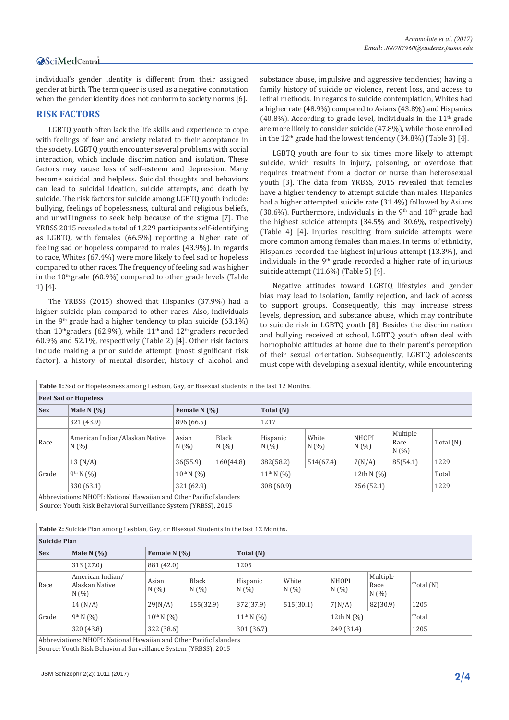## Central

individual's gender identity is different from their assigned gender at birth. The term queer is used as a negative connotation when the gender identity does not conform to society norms [6].

#### **RISK FACTORS**

LGBTQ youth often lack the life skills and experience to cope with feelings of fear and anxiety related to their acceptance in the society. LGBTQ youth encounter several problems with social interaction, which include discrimination and isolation. These factors may cause loss of self-esteem and depression. Many become suicidal and helpless. Suicidal thoughts and behaviors can lead to suicidal ideation, suicide attempts, and death by suicide. The risk factors for suicide among LGBTQ youth include: bullying, feelings of hopelessness, cultural and religious beliefs, and unwillingness to seek help because of the stigma [7]. The YRBSS 2015 revealed a total of 1,229 participants self-identifying as LGBTQ, with females (66.5%) reporting a higher rate of feeling sad or hopeless compared to males (43.9%). In regards to race, Whites (67.4%) were more likely to feel sad or hopeless compared to other races. The frequency of feeling sad was higher in the  $10<sup>th</sup>$  grade (60.9%) compared to other grade levels (Table 1) [4].

The YRBSS (2015) showed that Hispanics (37.9%) had a higher suicide plan compared to other races. Also, individuals in the 9<sup>th</sup> grade had a higher tendency to plan suicide  $(63.1\%)$ than  $10^{th}$ graders (62.9%), while  $11^{th}$  and  $12^{th}$  graders recorded 60.9% and 52.1%, respectively (Table 2) [4]. Other risk factors include making a prior suicide attempt (most significant risk factor), a history of mental disorder, history of alcohol and substance abuse, impulsive and aggressive tendencies; having a family history of suicide or violence, recent loss, and access to lethal methods. In regards to suicide contemplation, Whites had a higher rate (48.9%) compared to Asians (43.8%) and Hispanics (40.8%). According to grade level, individuals in the  $11<sup>th</sup>$  grade are more likely to consider suicide (47.8%), while those enrolled in the  $12<sup>th</sup>$  grade had the lowest tendency (34.8%) (Table 3) [4].

LGBTQ youth are four to six times more likely to attempt suicide, which results in injury, poisoning, or overdose that requires treatment from a doctor or nurse than heterosexual youth [3]. The data from YRBSS, 2015 revealed that females have a higher tendency to attempt suicide than males. Hispanics had a higher attempted suicide rate (31.4%) followed by Asians (30.6%). Furthermore, individuals in the 9<sup>th</sup> and  $10<sup>th</sup>$  grade had the highest suicide attempts (34.5% and 30.6%, respectively) (Table 4) [4]. Injuries resulting from suicide attempts were more common among females than males. In terms of ethnicity, Hispanics recorded the highest injurious attempt (13.3%), and individuals in the 9<sup>th</sup> grade recorded a higher rate of injurious suicide attempt (11.6%) (Table 5) [4].

Negative attitudes toward LGBTQ lifestyles and gender bias may lead to isolation, family rejection, and lack of access to support groups. Consequently, this may increase stress levels, depression, and substance abuse, which may contribute to suicide risk in LGBTQ youth [8]. Besides the discrimination and bullying received at school, LGBTQ youth often deal with homophobic attitudes at home due to their parent's perception of their sexual orientation. Subsequently, LGBTQ adolescents must cope with developing a sexual identity, while encountering

| Table 1: Sad or Hopelessness among Lesbian, Gay, or Bisexual students in the last 12 Months.                                                                   |                                                                                     |               |                      |                  |               |                      |                         |           |  |  |
|----------------------------------------------------------------------------------------------------------------------------------------------------------------|-------------------------------------------------------------------------------------|---------------|----------------------|------------------|---------------|----------------------|-------------------------|-----------|--|--|
| <b>Feel Sad or Hopeless</b>                                                                                                                                    |                                                                                     |               |                      |                  |               |                      |                         |           |  |  |
| <b>Sex</b>                                                                                                                                                     | Male N $(%)$<br>Female N (%)<br>Total (N)                                           |               |                      |                  |               |                      |                         |           |  |  |
|                                                                                                                                                                | 321 (43.9)<br>896 (66.5)<br>1217                                                    |               |                      |                  |               |                      |                         |           |  |  |
| Race                                                                                                                                                           | American Indian/Alaskan Native<br>N(%)                                              | Asian<br>N(%) | <b>Black</b><br>N(%) | Hispanic<br>N(%) | White<br>N(%) | <b>NHOPI</b><br>N(%) | Multiple<br>Race<br>N(% | Total (N) |  |  |
|                                                                                                                                                                | 13 (N/A)                                                                            | 36(55.9)      | 160(44.8)            | 382(58.2)        | 514(67.4)     | 7(N/A)               | 85(54.1)                | 1229      |  |  |
| Grade                                                                                                                                                          | $9^{th}$ N $(%)$<br>$10^{th}$ N $(%)$<br>$11^{th}$ N $(\% )$<br>Total<br>12th N (%) |               |                      |                  |               |                      |                         |           |  |  |
|                                                                                                                                                                | 330 (63.1)<br>321 (62.9)<br>1229<br>308 (60.9)<br>256(52.1)                         |               |                      |                  |               |                      |                         |           |  |  |
| Abbreviations: NHOPI: National Hawaiian and Other Pacific Islanders<br>$C_1$ . We defined not a set of $C_2$ and $C_3$ and $C_4$ and $C_5$ and $C_6$ and $C_7$ |                                                                                     |               |                      |                  |               |                      |                         |           |  |  |

Source: Youth Risk Behavioral Surveillance System (YRBSS), 2015

**Table 2:** Suicide Plan among Lesbian, Gay, or Bisexual Students in the last 12 Months.

| <b>Suicide Plan</b>                                                 |                                           |                                |           |                   |               |                      |                         |           |  |  |  |
|---------------------------------------------------------------------|-------------------------------------------|--------------------------------|-----------|-------------------|---------------|----------------------|-------------------------|-----------|--|--|--|
| <b>Sex</b>                                                          | Male N $(%)$                              | Female N $(\%)$                |           | Total (N)         |               |                      |                         |           |  |  |  |
|                                                                     | 313 (27.0)                                | 881 (42.0)                     |           | 1205              |               |                      |                         |           |  |  |  |
| Race                                                                | American Indian/<br>Alaskan Native<br>N(% | Black<br>Asian<br>N(%)<br>N(%) |           | Hispanic<br>N(%   | White<br>N(%) | <b>NHOPI</b><br>N(%) | Multiple<br>Race<br>N(% | Total (N) |  |  |  |
|                                                                     | 14 (N/A)                                  | 29(N/A)                        | 155(32.9) | 372(37.9)         | 515(30.1)     | 7(N/A)               | 82(30.9)                | 1205      |  |  |  |
| Grade                                                               | $9^{th}$ N $(%)$                          | $10^{th}$ N $(%)$              |           | $11^{th}$ N $(%)$ |               | 12th N (%)           |                         | Total     |  |  |  |
|                                                                     | 320 (43.8)                                | 322 (38.6)                     |           | 301 (36.7)        |               | 249 (31.4)           |                         | 1205      |  |  |  |
| Abbreviations: NHOPI: National Hawaiian and Other Pacific Islanders |                                           |                                |           |                   |               |                      |                         |           |  |  |  |

Abbreviations: NHOPI**:** National Hawaiian and Other Pacific Islanders Source: Youth Risk Behavioral Surveillance System (YRBSS), 2015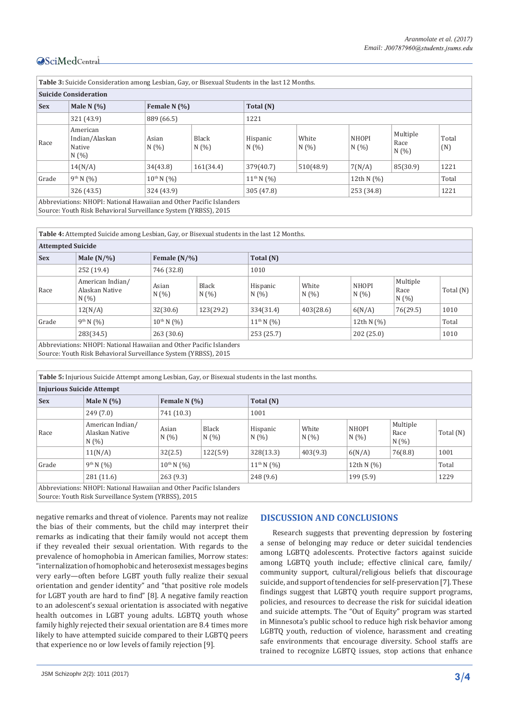# Central

| Table 3: Suicide Consideration among Lesbian, Gay, or Bisexual Students in the last 12 Months. |                                                                                    |              |              |                  |              |                      |                          |              |  |  |  |
|------------------------------------------------------------------------------------------------|------------------------------------------------------------------------------------|--------------|--------------|------------------|--------------|----------------------|--------------------------|--------------|--|--|--|
| <b>Suicide Consideration</b>                                                                   |                                                                                    |              |              |                  |              |                      |                          |              |  |  |  |
| <b>Sex</b>                                                                                     | Male N $(%)$                                                                       | Female N (%) |              | Total (N)        |              |                      |                          |              |  |  |  |
|                                                                                                | 321 (43.9)                                                                         | 889 (66.5)   |              | 1221             |              |                      |                          |              |  |  |  |
| Race                                                                                           | American<br>Indian/Alaskan<br>Native<br>N(%)                                       | Asian<br>N(% | Black<br>N(% | Hispanic<br>N(%) | White<br>N(% | <b>NHOPI</b><br>N(%) | Multiple<br>Race<br>N(%) | Total<br>(N) |  |  |  |
|                                                                                                | 14(N/A)                                                                            | 34(43.8)     | 161(34.4)    | 379(40.7)        | 510(48.9)    | 7(N/A)               | 85(30.9)                 | 1221         |  |  |  |
| Grade                                                                                          | $9^{th}$ N $($ %)<br>$11^{th}$ N $(%)$<br>$10^{th}$ N $(%)$<br>Total<br>12th N (%) |              |              |                  |              |                      |                          |              |  |  |  |
|                                                                                                | 326 (43.5)<br>324 (43.9)<br>305 (47.8)<br>253 (34.8)                               |              |              |                  |              |                      |                          | 1221         |  |  |  |
| Abbreviations: NHOPI: National Hawaiian and Other Pacific Islanders                            |                                                                                    |              |              |                  |              |                      |                          |              |  |  |  |

Source: Youth Risk Behavioral Surveillance System (YRBSS), 2015

**Table 4:** Attempted Suicide among Lesbian, Gay, or Bisexual students in the last 12 Months.

| <b>Attempted Suicide</b> |                                                                     |                   |              |                   |              |                      |                          |           |  |  |  |
|--------------------------|---------------------------------------------------------------------|-------------------|--------------|-------------------|--------------|----------------------|--------------------------|-----------|--|--|--|
| <b>Sex</b>               | Male $(N/\%)$                                                       | Female $(N/\%)$   |              | Total (N)         |              |                      |                          |           |  |  |  |
|                          | 252 (19.4)                                                          | 746 (32.8)        |              | 1010              |              |                      |                          |           |  |  |  |
| Race                     | American Indian/<br>Alaskan Native<br>N(%                           | Asian<br>N(%)     | Black<br>N(% | Hispanic<br>N(%)  | White<br>N(% | <b>NHOPI</b><br>N(%) | Multiple<br>Race<br>N(%) | Total (N) |  |  |  |
|                          | 12(N/A)                                                             | 32(30.6)          | 123(29.2)    | 334(31.4)         | 403(28.6)    | 6(N/A)               | 76(29.5)                 | 1010      |  |  |  |
| Grade                    | $9^{th}$ N $($ %)                                                   | $10^{th}$ N $(%)$ |              | $11^{th}$ N $(%)$ |              |                      | 12th N (%)               |           |  |  |  |
|                          | 283(34.5)                                                           | 263(30.6)         |              | 253 (25.7)        |              |                      | 1010<br>202(25.0)        |           |  |  |  |
|                          | Abbreviations: NHOPI: National Hawaiian and Other Pacific Islanders |                   |              |                   |              |                      |                          |           |  |  |  |

Source: Youth Risk Behavioral Surveillance System (YRBSS), 2015

|                                  | <b>Table 5:</b> Injurious Suicide Attempt among Lesbian, Gay, or Bisexual students in the last months. |               |                      |                  |               |                      |                         |           |  |
|----------------------------------|--------------------------------------------------------------------------------------------------------|---------------|----------------------|------------------|---------------|----------------------|-------------------------|-----------|--|
| <b>Injurious Suicide Attempt</b> |                                                                                                        |               |                      |                  |               |                      |                         |           |  |
| <b>Sex</b>                       | Male N $(%)$<br>Female N $(%)$<br>Total (N)                                                            |               |                      |                  |               |                      |                         |           |  |
|                                  | 249(7.0)                                                                                               | 741 (10.3)    |                      | 1001             |               |                      |                         |           |  |
| Race                             | American Indian/<br>Alaskan Native<br>N(%                                                              | Asian<br>N(%) | <b>Black</b><br>N(%) | Hispanic<br>N(%) | White<br>N(%) | <b>NHOPI</b><br>N(%) | Multiple<br>Race<br>N(% | Total (N) |  |
|                                  | 11(N/A)                                                                                                | 32(2.5)       | 122(5.9)             | 328(13.3)        | 403(9.3)      | 6(N/A)               | 76(8.8)                 | 1001      |  |
| Grade                            | $9^{th}$ N $($ %)<br>$10^{th}$ N $(%)$<br>$11^{th}$ N $(%)$<br>Total<br>12th N (%)                     |               |                      |                  |               |                      |                         |           |  |
|                                  | 281(11.6)                                                                                              | 263(9.3)      |                      | 248(9.6)         |               | 199(5.9)             |                         | 1229      |  |
|                                  | Abbreviations: NHOPI: National Hawaiian and Other Pacific Islanders                                    |               |                      |                  |               |                      |                         |           |  |

Source: Youth Risk Surveillance System (YRBSS), 2015

negative remarks and threat of violence. Parents may not realize the bias of their comments, but the child may interpret their remarks as indicating that their family would not accept them if they revealed their sexual orientation. With regards to the prevalence of homophobia in American families, Morrow states: "internalization of homophobic and heterosexist messages begins very early—often before LGBT youth fully realize their sexual orientation and gender identity" and "that positive role models for LGBT youth are hard to find" [8]. A negative family reaction to an adolescent's sexual orientation is associated with negative health outcomes in LGBT young adults. LGBTQ youth whose family highly rejected their sexual orientation are 8.4 times more likely to have attempted suicide compared to their LGBTQ peers that experience no or low levels of family rejection [9].

#### **DISCUSSION AND CONCLUSIONS**

Research suggests that preventing depression by fostering a sense of belonging may reduce or deter suicidal tendencies among LGBTQ adolescents. Protective factors against suicide among LGBTQ youth include; effective clinical care, family/ community support, cultural/religious beliefs that discourage suicide, and support of tendencies for self-preservation [7]. These findings suggest that LGBTQ youth require support programs, policies, and resources to decrease the risk for suicidal ideation and suicide attempts. The "Out of Equity" program was started in Minnesota's public school to reduce high risk behavior among LGBTQ youth, reduction of violence, harassment and creating safe environments that encourage diversity. School staffs are trained to recognize LGBTQ issues, stop actions that enhance